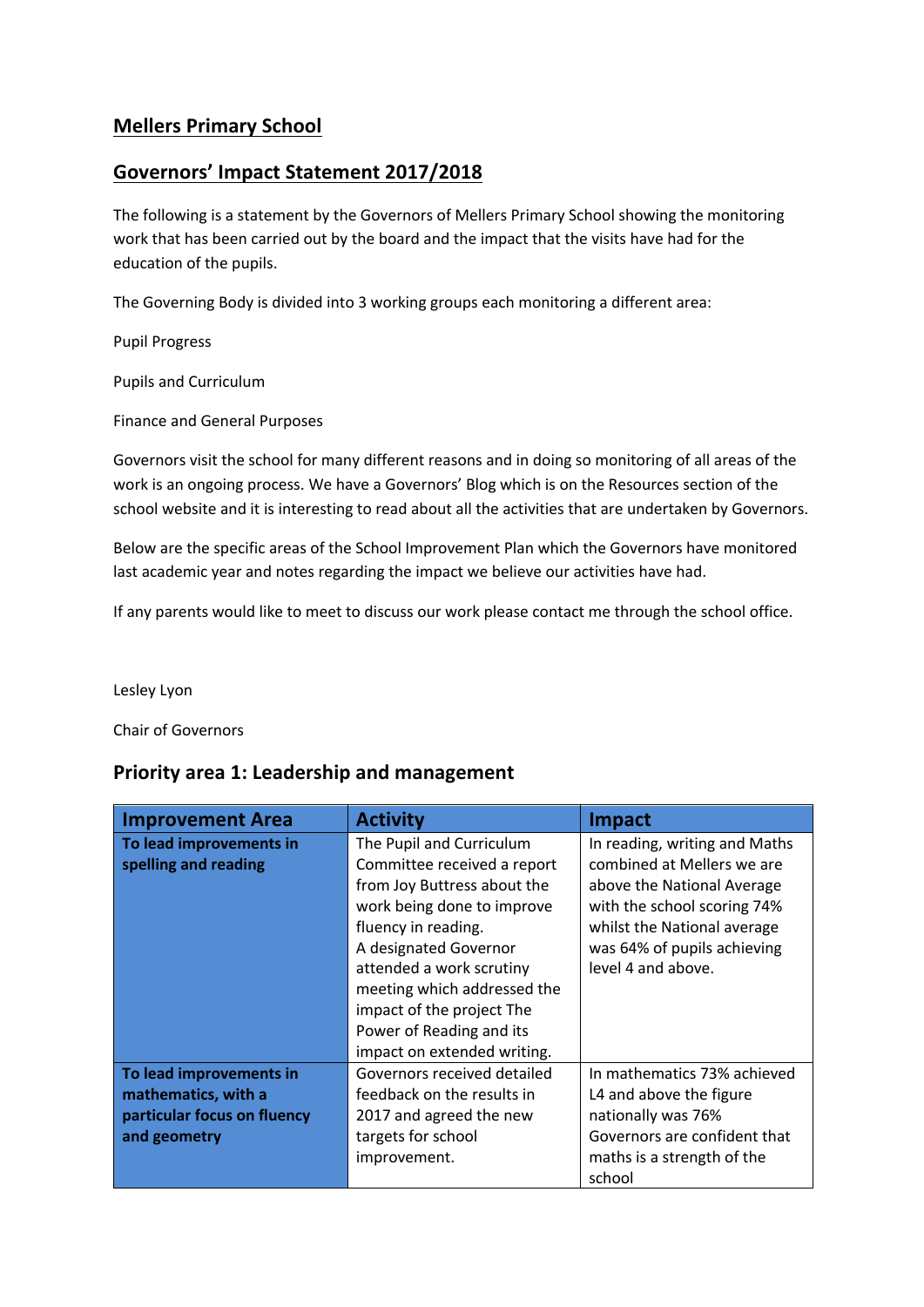### **Mellers Primary School**

### **Governors' Impact Statement 2017/2018**

The following is a statement by the Governors of Mellers Primary School showing the monitoring work that has been carried out by the board and the impact that the visits have had for the education of the pupils.

The Governing Body is divided into 3 working groups each monitoring a different area:

Pupil Progress

Pupils and Curriculum

Finance and General Purposes

Governors visit the school for many different reasons and in doing so monitoring of all areas of the work is an ongoing process. We have a Governors' Blog which is on the Resources section of the school website and it is interesting to read about all the activities that are undertaken by Governors.

Below are the specific areas of the School Improvement Plan which the Governors have monitored last academic year and notes regarding the impact we believe our activities have had.

If any parents would like to meet to discuss our work please contact me through the school office.

Lesley Lyon

Chair of Governors

#### **Priority area 1: Leadership and management**

| <b>Improvement Area</b>                                                                       | <b>Activity</b>                                                                                                                                                                                                                                                                                                         | <b>Impact</b>                                                                                                                                                                                                |
|-----------------------------------------------------------------------------------------------|-------------------------------------------------------------------------------------------------------------------------------------------------------------------------------------------------------------------------------------------------------------------------------------------------------------------------|--------------------------------------------------------------------------------------------------------------------------------------------------------------------------------------------------------------|
| To lead improvements in<br>spelling and reading                                               | The Pupil and Curriculum<br>Committee received a report<br>from Joy Buttress about the<br>work being done to improve<br>fluency in reading.<br>A designated Governor<br>attended a work scrutiny<br>meeting which addressed the<br>impact of the project The<br>Power of Reading and its<br>impact on extended writing. | In reading, writing and Maths<br>combined at Mellers we are<br>above the National Average<br>with the school scoring 74%<br>whilst the National average<br>was 64% of pupils achieving<br>level 4 and above. |
| To lead improvements in<br>mathematics, with a<br>particular focus on fluency<br>and geometry | Governors received detailed<br>feedback on the results in<br>2017 and agreed the new<br>targets for school<br>improvement.                                                                                                                                                                                              | In mathematics 73% achieved<br>L4 and above the figure<br>nationally was 76%<br>Governors are confident that<br>maths is a strength of the<br>school                                                         |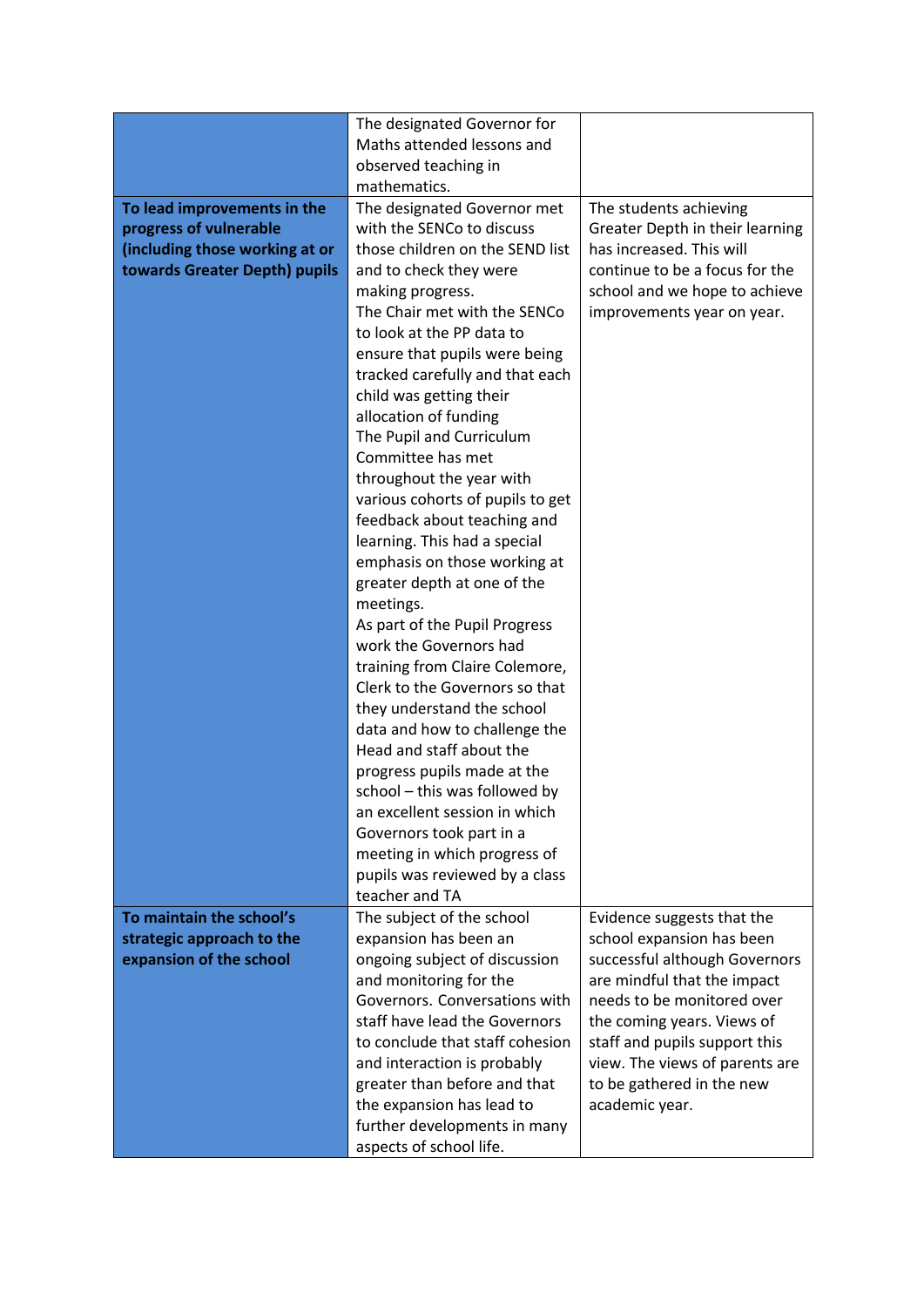|                                | The designated Governor for                                      |                                                             |
|--------------------------------|------------------------------------------------------------------|-------------------------------------------------------------|
|                                | Maths attended lessons and                                       |                                                             |
|                                | observed teaching in                                             |                                                             |
|                                | mathematics.                                                     |                                                             |
| To lead improvements in the    | The designated Governor met                                      | The students achieving                                      |
| progress of vulnerable         | with the SENCo to discuss                                        | Greater Depth in their learning                             |
| (including those working at or | those children on the SEND list                                  | has increased. This will<br>continue to be a focus for the  |
| towards Greater Depth) pupils  | and to check they were                                           |                                                             |
|                                | making progress.<br>The Chair met with the SENCo                 | school and we hope to achieve<br>improvements year on year. |
|                                | to look at the PP data to                                        |                                                             |
|                                | ensure that pupils were being                                    |                                                             |
|                                | tracked carefully and that each                                  |                                                             |
|                                | child was getting their                                          |                                                             |
|                                | allocation of funding                                            |                                                             |
|                                | The Pupil and Curriculum                                         |                                                             |
|                                | Committee has met                                                |                                                             |
|                                | throughout the year with                                         |                                                             |
|                                | various cohorts of pupils to get                                 |                                                             |
|                                | feedback about teaching and                                      |                                                             |
|                                | learning. This had a special                                     |                                                             |
|                                | emphasis on those working at                                     |                                                             |
|                                | greater depth at one of the                                      |                                                             |
|                                | meetings.                                                        |                                                             |
|                                | As part of the Pupil Progress                                    |                                                             |
|                                | work the Governors had                                           |                                                             |
|                                | training from Claire Colemore,<br>Clerk to the Governors so that |                                                             |
|                                | they understand the school                                       |                                                             |
|                                | data and how to challenge the                                    |                                                             |
|                                | Head and staff about the                                         |                                                             |
|                                | progress pupils made at the                                      |                                                             |
|                                | school - this was followed by                                    |                                                             |
|                                | an excellent session in which                                    |                                                             |
|                                | Governors took part in a                                         |                                                             |
|                                | meeting in which progress of                                     |                                                             |
|                                | pupils was reviewed by a class                                   |                                                             |
|                                | teacher and TA                                                   |                                                             |
| To maintain the school's       | The subject of the school                                        | Evidence suggests that the                                  |
| strategic approach to the      | expansion has been an                                            | school expansion has been                                   |
| expansion of the school        | ongoing subject of discussion<br>and monitoring for the          | successful although Governors                               |
|                                | Governors. Conversations with                                    | are mindful that the impact<br>needs to be monitored over   |
|                                | staff have lead the Governors                                    | the coming years. Views of                                  |
|                                | to conclude that staff cohesion                                  | staff and pupils support this                               |
|                                | and interaction is probably                                      | view. The views of parents are                              |
|                                | greater than before and that                                     | to be gathered in the new                                   |
|                                | the expansion has lead to                                        | academic year.                                              |
|                                | further developments in many                                     |                                                             |
|                                | aspects of school life.                                          |                                                             |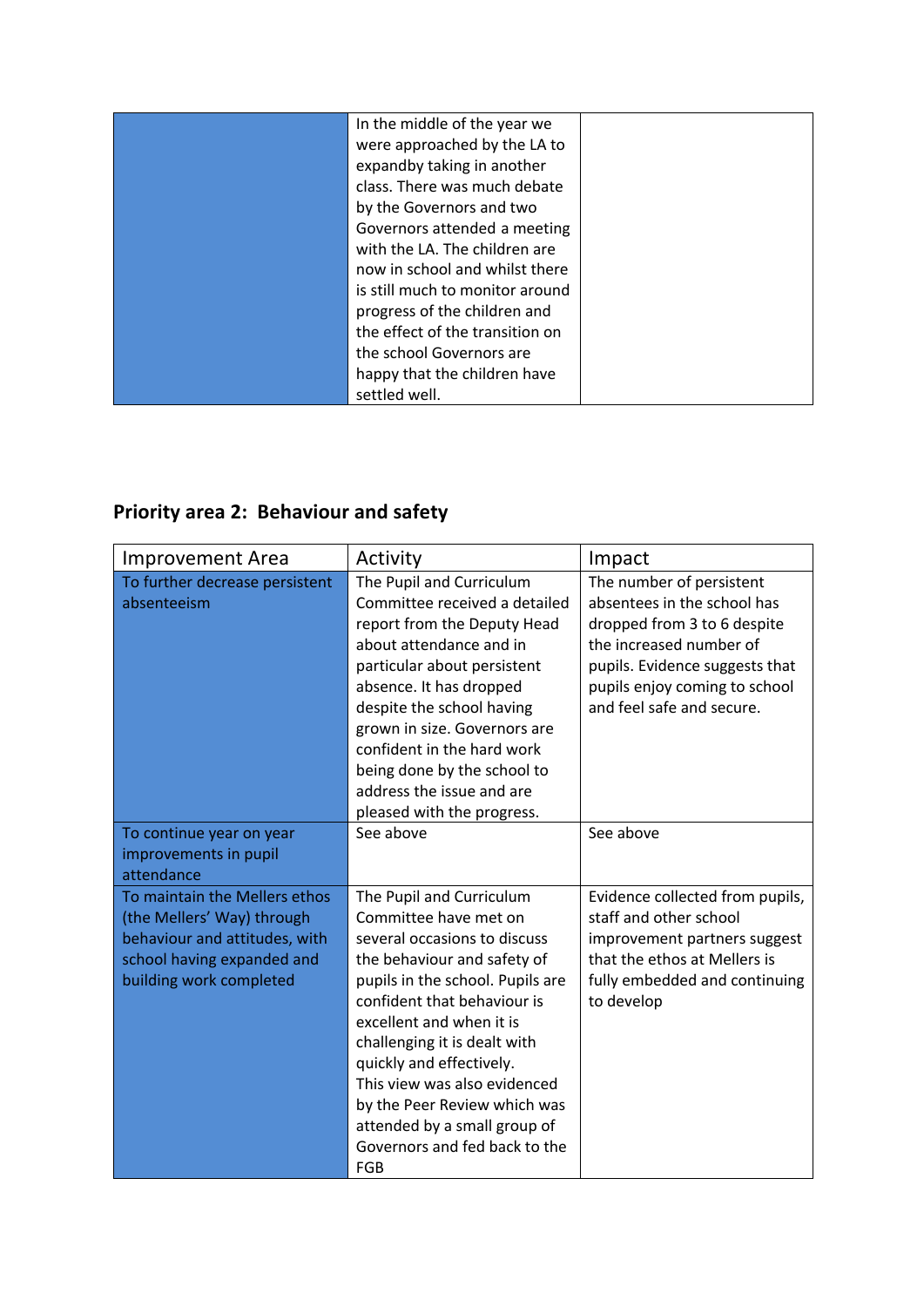| In the middle of the year we    |  |
|---------------------------------|--|
|                                 |  |
| were approached by the LA to    |  |
| expandby taking in another      |  |
| class. There was much debate    |  |
| by the Governors and two        |  |
| Governors attended a meeting    |  |
| with the LA. The children are   |  |
| now in school and whilst there  |  |
| is still much to monitor around |  |
| progress of the children and    |  |
| the effect of the transition on |  |
| the school Governors are        |  |
| happy that the children have    |  |
| settled well.                   |  |

# **Priority area 2: Behaviour and safety**

| <b>Improvement Area</b>                                                                                                                               | Activity                                                                                                                                                                                                                                                                                                                                                                                                            | Impact                                                                                                                                                                                                            |
|-------------------------------------------------------------------------------------------------------------------------------------------------------|---------------------------------------------------------------------------------------------------------------------------------------------------------------------------------------------------------------------------------------------------------------------------------------------------------------------------------------------------------------------------------------------------------------------|-------------------------------------------------------------------------------------------------------------------------------------------------------------------------------------------------------------------|
| To further decrease persistent<br>absenteeism                                                                                                         | The Pupil and Curriculum<br>Committee received a detailed<br>report from the Deputy Head<br>about attendance and in<br>particular about persistent<br>absence. It has dropped<br>despite the school having<br>grown in size. Governors are<br>confident in the hard work<br>being done by the school to<br>address the issue and are<br>pleased with the progress.                                                  | The number of persistent<br>absentees in the school has<br>dropped from 3 to 6 despite<br>the increased number of<br>pupils. Evidence suggests that<br>pupils enjoy coming to school<br>and feel safe and secure. |
| To continue year on year<br>improvements in pupil<br>attendance                                                                                       | See above                                                                                                                                                                                                                                                                                                                                                                                                           | See above                                                                                                                                                                                                         |
| To maintain the Mellers ethos<br>(the Mellers' Way) through<br>behaviour and attitudes, with<br>school having expanded and<br>building work completed | The Pupil and Curriculum<br>Committee have met on<br>several occasions to discuss<br>the behaviour and safety of<br>pupils in the school. Pupils are<br>confident that behaviour is<br>excellent and when it is<br>challenging it is dealt with<br>quickly and effectively.<br>This view was also evidenced<br>by the Peer Review which was<br>attended by a small group of<br>Governors and fed back to the<br>FGB | Evidence collected from pupils,<br>staff and other school<br>improvement partners suggest<br>that the ethos at Mellers is<br>fully embedded and continuing<br>to develop                                          |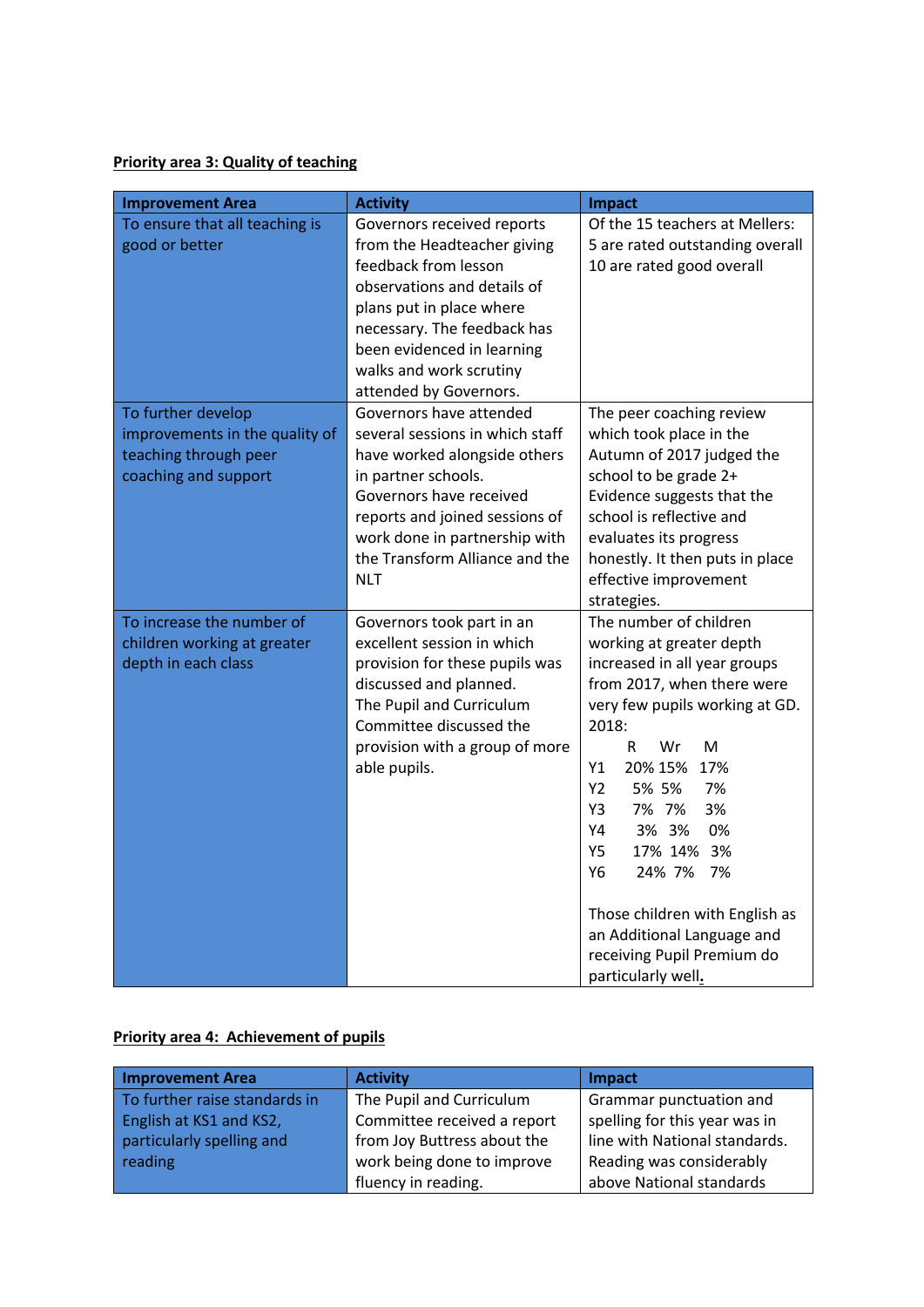**Priority area 3: Quality of teaching**

| <b>Improvement Area</b>                                                                               | <b>Activity</b>                                                                                                                                                                                                                                                 | <b>Impact</b>                                                                                                                                                                                                                                                                                                                                                                                                                         |
|-------------------------------------------------------------------------------------------------------|-----------------------------------------------------------------------------------------------------------------------------------------------------------------------------------------------------------------------------------------------------------------|---------------------------------------------------------------------------------------------------------------------------------------------------------------------------------------------------------------------------------------------------------------------------------------------------------------------------------------------------------------------------------------------------------------------------------------|
| To ensure that all teaching is<br>good or better                                                      | Governors received reports<br>from the Headteacher giving<br>feedback from lesson<br>observations and details of<br>plans put in place where<br>necessary. The feedback has<br>been evidenced in learning<br>walks and work scrutiny<br>attended by Governors.  | Of the 15 teachers at Mellers:<br>5 are rated outstanding overall<br>10 are rated good overall                                                                                                                                                                                                                                                                                                                                        |
| To further develop<br>improvements in the quality of<br>teaching through peer<br>coaching and support | Governors have attended<br>several sessions in which staff<br>have worked alongside others<br>in partner schools.<br>Governors have received<br>reports and joined sessions of<br>work done in partnership with<br>the Transform Alliance and the<br><b>NLT</b> | The peer coaching review<br>which took place in the<br>Autumn of 2017 judged the<br>school to be grade 2+<br>Evidence suggests that the<br>school is reflective and<br>evaluates its progress<br>honestly. It then puts in place<br>effective improvement<br>strategies.                                                                                                                                                              |
| To increase the number of<br>children working at greater<br>depth in each class                       | Governors took part in an<br>excellent session in which<br>provision for these pupils was<br>discussed and planned.<br>The Pupil and Curriculum<br>Committee discussed the<br>provision with a group of more<br>able pupils.                                    | The number of children<br>working at greater depth<br>increased in all year groups<br>from 2017, when there were<br>very few pupils working at GD.<br>2018:<br>R.<br>Wr<br>M<br>20% 15% 17%<br>Y1<br>Y2<br>5% 5%<br>7%<br>3%<br>Y3<br>7% 7%<br>Y4<br>3% 3%<br>0%<br>17% 14% 3%<br><b>Y5</b><br>24% 7%<br>7%<br>Υ6<br>Those children with English as<br>an Additional Language and<br>receiving Pupil Premium do<br>particularly well. |

### **Priority area 4: Achievement of pupils**

| <b>Improvement Area</b>       | <b>Activity</b>             | <b>Impact</b>                 |
|-------------------------------|-----------------------------|-------------------------------|
| To further raise standards in | The Pupil and Curriculum    | Grammar punctuation and       |
| English at KS1 and KS2,       | Committee received a report | spelling for this year was in |
| particularly spelling and     | from Joy Buttress about the | line with National standards. |
| reading                       | work being done to improve  | Reading was considerably      |
|                               | fluency in reading.         | above National standards      |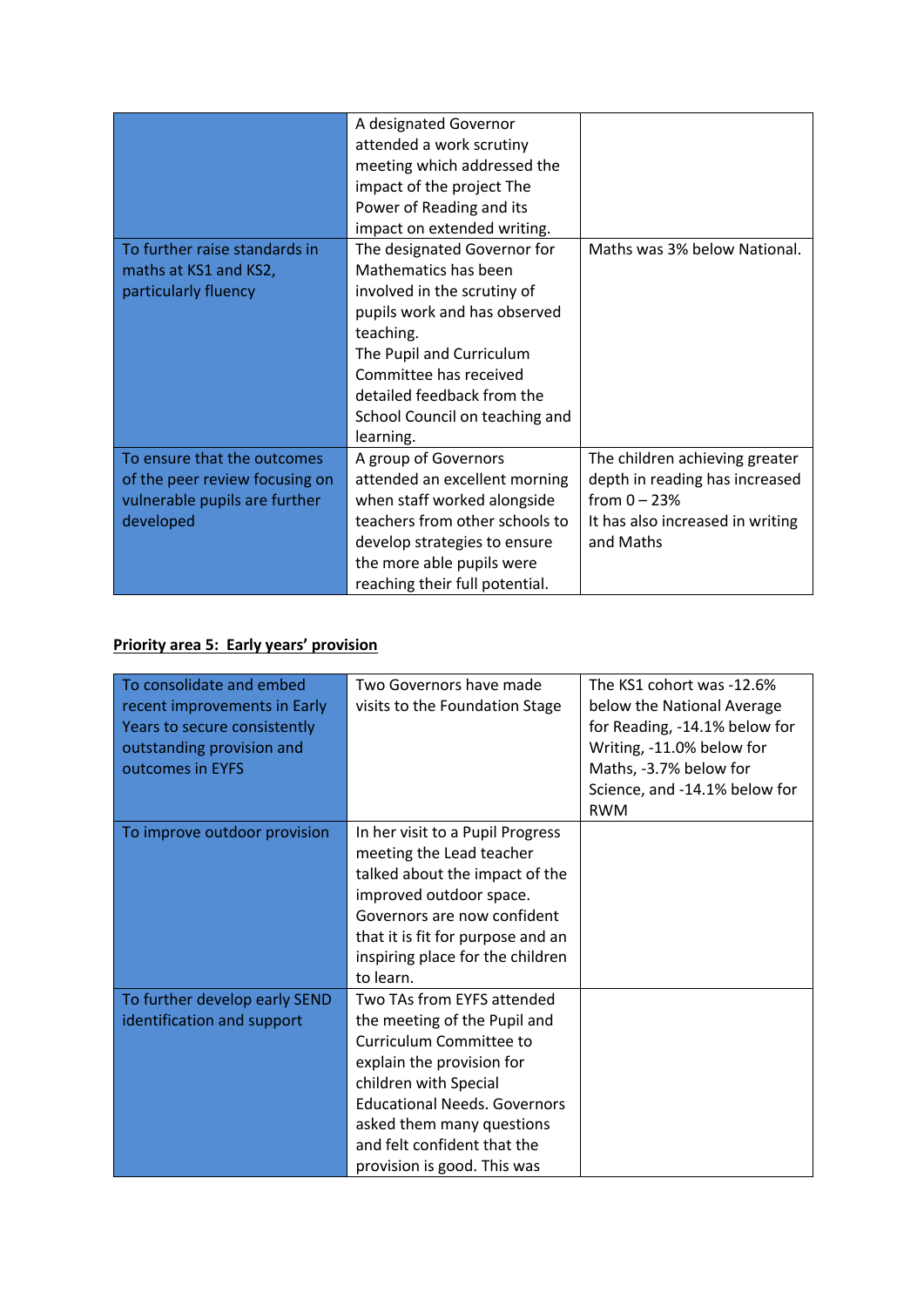|                                | A designated Governor          |                                  |
|--------------------------------|--------------------------------|----------------------------------|
|                                | attended a work scrutiny       |                                  |
|                                | meeting which addressed the    |                                  |
|                                | impact of the project The      |                                  |
|                                | Power of Reading and its       |                                  |
|                                | impact on extended writing.    |                                  |
| To further raise standards in  | The designated Governor for    | Maths was 3% below National.     |
| maths at KS1 and KS2,          | Mathematics has been           |                                  |
| particularly fluency           | involved in the scrutiny of    |                                  |
|                                | pupils work and has observed   |                                  |
|                                | teaching.                      |                                  |
|                                | The Pupil and Curriculum       |                                  |
|                                | Committee has received         |                                  |
|                                | detailed feedback from the     |                                  |
|                                | School Council on teaching and |                                  |
|                                | learning.                      |                                  |
| To ensure that the outcomes    | A group of Governors           | The children achieving greater   |
| of the peer review focusing on | attended an excellent morning  | depth in reading has increased   |
| vulnerable pupils are further  | when staff worked alongside    | from $0 - 23%$                   |
| developed                      | teachers from other schools to | It has also increased in writing |
|                                | develop strategies to ensure   | and Maths                        |
|                                | the more able pupils were      |                                  |
|                                | reaching their full potential. |                                  |

## **Priority area 5: Early years' provision**

| To consolidate and embed      | Two Governors have made             | The KS1 cohort was -12.6%     |
|-------------------------------|-------------------------------------|-------------------------------|
| recent improvements in Early  | visits to the Foundation Stage      | below the National Average    |
| Years to secure consistently  |                                     | for Reading, -14.1% below for |
| outstanding provision and     |                                     | Writing, -11.0% below for     |
| outcomes in EYFS              |                                     | Maths, -3.7% below for        |
|                               |                                     | Science, and -14.1% below for |
|                               |                                     | <b>RWM</b>                    |
| To improve outdoor provision  | In her visit to a Pupil Progress    |                               |
|                               | meeting the Lead teacher            |                               |
|                               | talked about the impact of the      |                               |
|                               | improved outdoor space.             |                               |
|                               | Governors are now confident         |                               |
|                               | that it is fit for purpose and an   |                               |
|                               | inspiring place for the children    |                               |
|                               | to learn.                           |                               |
| To further develop early SEND | Two TAs from EYFS attended          |                               |
| identification and support    | the meeting of the Pupil and        |                               |
|                               | Curriculum Committee to             |                               |
|                               | explain the provision for           |                               |
|                               | children with Special               |                               |
|                               | <b>Educational Needs. Governors</b> |                               |
|                               | asked them many questions           |                               |
|                               | and felt confident that the         |                               |
|                               | provision is good. This was         |                               |